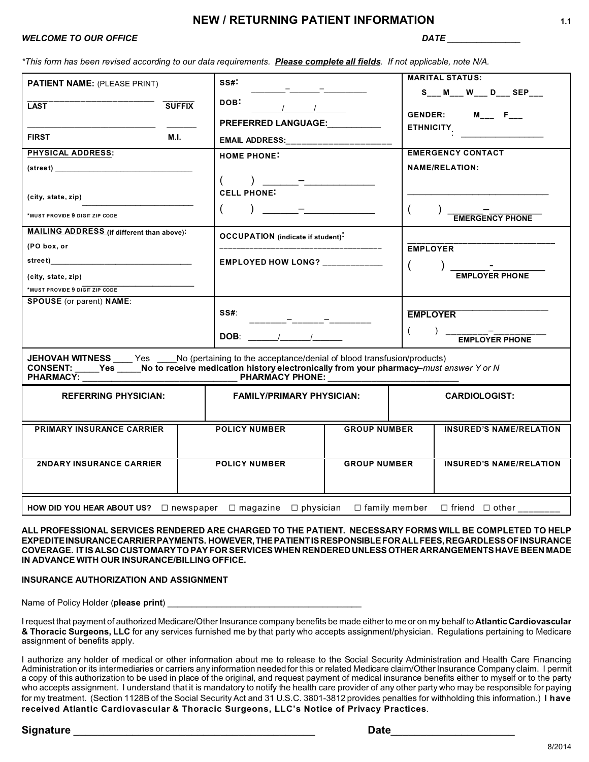# **NEW / RETURNING PATIENT INFORMATION 1.1**

# *WELCOME TO OUR OFFICE DATE \_\_\_\_\_\_\_\_\_\_\_\_\_\_\_*

*\*This form has been revised according to our data requirements. Please complete all fields. If not applicable, note N/A.*

| <b>PATIENT NAME: (PLEASE PRINT)</b>                                                                                                                                                                                              | SS#                                      |                     | <b>MARITAL STATUS:</b>               |  |
|----------------------------------------------------------------------------------------------------------------------------------------------------------------------------------------------------------------------------------|------------------------------------------|---------------------|--------------------------------------|--|
|                                                                                                                                                                                                                                  |                                          |                     | S___ M___ W___ D___ SEP___           |  |
| <b>LAST</b><br><b>SUFFIX</b>                                                                                                                                                                                                     | DOB:                                     |                     | GENDER: $M_{---}$ F <sub>---</sub>   |  |
|                                                                                                                                                                                                                                  | <b>PREFERRED LANGUAGE:</b>               |                     | <b>ETHNICITY</b>                     |  |
| <b>FIRST</b><br><b>M.I.</b>                                                                                                                                                                                                      | EMAIL ADDRESS:___________________        |                     | <u> 1989 - Jan Sterling Sterling</u> |  |
| PHYSICAL ADDRESS:                                                                                                                                                                                                                | <b>HOME PHONE:</b>                       |                     | <b>EMERGENCY CONTACT</b>             |  |
| $(\textsf{street})$                                                                                                                                                                                                              |                                          |                     | <b>NAME/RELATION:</b>                |  |
|                                                                                                                                                                                                                                  |                                          |                     |                                      |  |
| (city, state, zip)                                                                                                                                                                                                               | <b>CELL PHONE:</b>                       |                     |                                      |  |
| *MUST PROVIDE 9 DIGIT ZIP CODE                                                                                                                                                                                                   |                                          |                     | <b>EMERGENCY PHONE</b>               |  |
| <b>MAILING ADDRESS</b> (if different than above):                                                                                                                                                                                | <b>OCCUPATION</b> (indicate if student): |                     |                                      |  |
| (PO box, or                                                                                                                                                                                                                      |                                          |                     | <b>EMPLOYER</b>                      |  |
|                                                                                                                                                                                                                                  | <b>EMPLOYED HOW LONG?</b> ___________    |                     | $\overline{ }$                       |  |
| (city, state, zip)                                                                                                                                                                                                               |                                          |                     | EMPLOYER PHONE                       |  |
| *MUST PROVIDE 9 DIGIT ZIP CODE                                                                                                                                                                                                   |                                          |                     |                                      |  |
| <b>SPOUSE</b> (or parent) NAME:                                                                                                                                                                                                  |                                          |                     |                                      |  |
|                                                                                                                                                                                                                                  | SS#:                                     |                     | <b>EMPLOYER</b>                      |  |
|                                                                                                                                                                                                                                  | $DOB:$ / /                               |                     | $\left($<br><b>EMPLOYER PHONE</b>    |  |
| JEHOVAH WITNESS ____ Yes ____No (pertaining to the acceptance/denial of blood transfusion/products)<br>CONSENT: _____Yes _____No to receive medication history electronically from your pharmacy–must answer Y or N<br>PHARMACY: |                                          |                     |                                      |  |
| <b>REFERRING PHYSICIAN:</b>                                                                                                                                                                                                      | <b>FAMILY/PRIMARY PHYSICIAN:</b>         |                     | <b>CARDIOLOGIST:</b>                 |  |
|                                                                                                                                                                                                                                  |                                          |                     |                                      |  |
| <b>PRIMARY INSURANCE CARRIER</b>                                                                                                                                                                                                 | <b>POLICY NUMBER</b>                     | <b>GROUP NUMBER</b> | <b>INSURED'S NAME/RELATION</b>       |  |
|                                                                                                                                                                                                                                  |                                          |                     |                                      |  |
| 2NDARY INSURANCE CARRIER                                                                                                                                                                                                         | <b>POLICY NUMBER</b>                     | <b>GROUP NUMBER</b> | <b>INSURED'S NAME/RELATION</b>       |  |
|                                                                                                                                                                                                                                  |                                          |                     |                                      |  |
| HOW DID YOU HEAR ABOUT US? $\Box$ newspaper $\Box$ magazine $\Box$ physician $\Box$ family member<br>$\Box$ friend $\Box$ other                                                                                                  |                                          |                     |                                      |  |

**ALL PROFESSIONAL SERVICES RENDERED ARE CHARGED TO THE PATIENT. NECESSARY FORMS WILL BE COMPLETED TO HELP EXPEDITEINSURANCECARRIERPAYMENTS. HOWEVER,THEPATIENTISRESPONSIBLEFORALLFEES,REGARDLESSOFINSURANCE COVERAGE. IT IS ALSOCUSTOMARYTOPAY FOR SERVICESWHEN RENDERED UNLESS OTHER ARRANGEMENTSHAVE BEEN MADE IN ADVANCE WITH OUR INSURANCE/BILLING OFFICE.**

#### **INSURANCE AUTHORIZATION AND ASSIGNMENT**

Name of Policy Holder (please print) **Name** of Policy Holder (please print)

I request that payment of authorized Medicare/Other Insurance company benefits be made either to me or on my behalf to **Atlantic Cardiovascular & Thoracic Surgeons, LLC** for any services furnished me by that party who accepts assignment/physician. Regulations pertaining to Medicare assignment of benefits apply.

I authorize any holder of medical or other information about me to release to the Social Security Administration and Health Care Financing Administration or its intermediaries or carriers any information needed for this or related Medicare claim/Other Insurance Company claim. I permit a copy of this authorization to be used in place of the original, and request payment of medical insurance benefits either to myself or to the party who accepts assignment. I understand that it is mandatory to notify the health care provider of any other party who may be responsible for paying for my treatment. (Section 1128B of the Social Security Act and 31 U.S.C. 3801-3812 provides penalties for withholding this information.) **I have received Atlantic Cardiovascular & Thoracic Surgeons, LLC's Notice of Privacy Practices**.

**Signature** \_\_\_\_\_\_\_\_\_\_\_\_\_\_\_\_\_\_\_\_\_\_\_\_\_\_\_\_\_\_\_\_\_\_\_\_\_\_\_\_\_ **Date**\_\_\_\_\_\_\_\_\_\_\_\_\_\_\_\_\_\_\_\_\_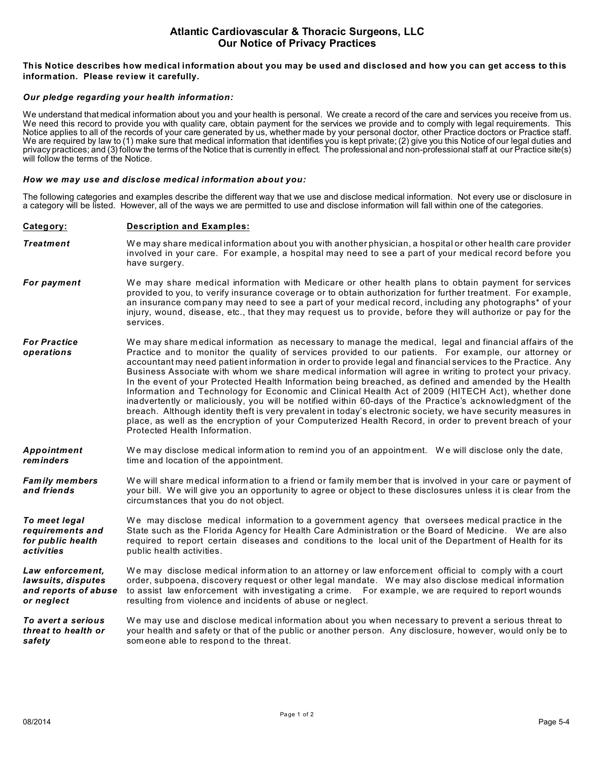# **Atlantic Cardiovascular & Thoracic Surgeons, LLC Our Notice of Privacy Practices**

### **This Notice describes how medical information about you may be used and disclosed and how you can get access to this information. Please review it carefully.**

### *Our pledge regarding your health information:*

We understand that medical information about you and your health is personal. We create a record of the care and services you receive from us. We need this record to provide you with quality care, obtain payment for the services we provide and to comply with legal requirements. This Notice applies to all of the records of your care generated by us, whether made by your personal doctor, other Practice doctors or Practice staff. We are required by law to (1) make sure that medical information that identifies you is kept private; (2) give you this Notice of our legal duties and privacy practices; and (3) follow the terms of the Notice that is currently in effect. The professional and non-professional staff at our Practice site(s) will follow the terms of the Notice.

#### *How we may use and disclose medical information about you:*

The following categories and examples describe the different way that we use and disclose medical information. Not every use or disclosure in a category will be listed. However, all of the ways we are permitted to use and disclose information will fall within one of the categories.

### **Category: Description and Examples:**

- **Treatment** We may share medical information about you with another physician, a hospital or other health care provider involved in your care. For example, a hospital may need to see a part of your medical record before you have surgery.
- **For payment** We may share medical information with Medicare or other health plans to obtain payment for services provided to you, to verify insurance coverage or to obtain authorization for further treatment. For example, an insurance com pany may need to see a part of your medical record, including any photographs\* of your injury, wound, disease, etc., that they may request us to provide, before they will authorize or pay for the services.
- *For Practice* We may share m edical information as necessary to manage the medical, legal and financial affairs of the *operations* Practice and to monitor the quality of services provided to our patients. For exam ple, our attorney or accountant may need patient information in order to provide legal and financial services to the Practice. Any Business Associate with whom we share medical information will agree in writing to protect your privacy. In the event of your Protected Health Information being breached, as defined and amended by the Health Information and Technology for Economic and Clinical Health Act of 2009 (HITECH Act), whether done inadvertently or maliciously, you will be notified within 60-days of the Practice's acknowledgment of the breach. Although identity theft is very prevalent in today's electronic society, we have security measures in place, as well as the encryption of your Computerized Health Record, in order to prevent breach of your Protected Health Information.

*Appointment* We may disclose medical information to remind you of an appointment. We will disclose only the date, <br> **reminders** time and location of the appointment. time and location of the appointment.

**Family members** We will share medical information to a friend or family member that is involved in your care or payment of **and friends** your bill. We will give you an opportunity to agree or object to these disclosures unless it is clear from the circumstances that you do not object.

**To meet legal** We may disclose medical information to a government agency that oversees medical practice in the *requirements and* State such as the Florida Agency for Health Care Administration or the Board of Medicine. We are also *for public health* required to report certain diseases and conditions to the local unit of the Department of Health for its **activities** *activities* public health activities.

Law enforcement, We may disclose medical information to an attorney or law enforcement official to comply with a court lawsuits, disputes order, subpoena, discovery request or other legal mandate. We may also disclose medical information *and reports of abuse* to assist law enforcement with investigating a crime. For example, we are required to report wounds **or neglect** resulting from violence and incidents of abuse or neglect.

*To avert a serious* W e may use and disclose medical information about you when necessary to prevent a serious threat to your health and safety or that of the public or another person. Any disclosure, however, would only be to **safety** someone able to respond to the threat.